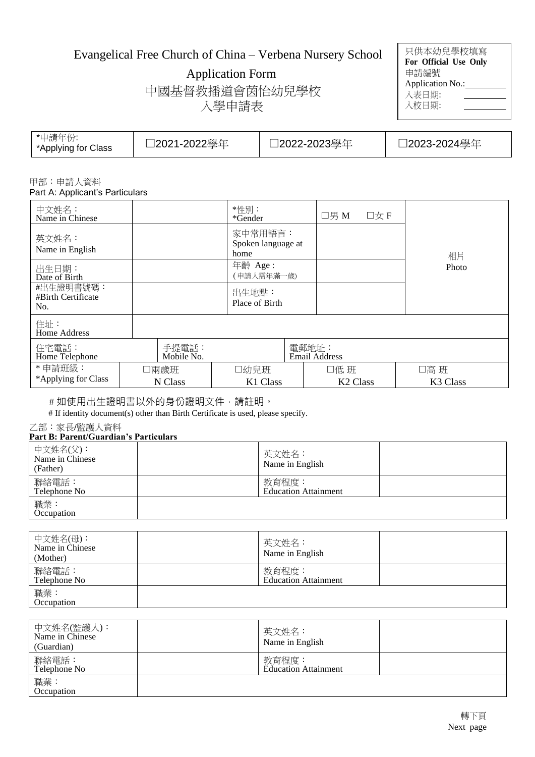# Evangelical Free Church of China – Verbena Nursery School

Application Form

中國基督教播道會茵怡幼兒學校 入學申請表

| 只供本幼兒學校填寫             |  |
|-----------------------|--|
| For Official Use Only |  |
| 申請編號                  |  |
| Application No.:      |  |
| 入表日期:                 |  |
| 入校日期:                 |  |
|                       |  |

| *申請年份<br>*Applying for Class | コ2021-2022學年 | コ2022-2023學年 | コ2023-2024學年 |
|------------------------------|--------------|--------------|--------------|
|------------------------------|--------------|--------------|--------------|

#### 甲部:申請人資料 Part A: Applicant's Particulars

| 中文姓名:<br>Name in Chinese               |                     | *性別:<br>*Gender                       | □男 M                          | 口女F |                              |
|----------------------------------------|---------------------|---------------------------------------|-------------------------------|-----|------------------------------|
| 英文姓名:<br>Name in English               |                     | 家中常用語言:<br>Spoken language at<br>home |                               |     | 相片                           |
| 出生日期:<br>Date of Birth                 |                     | 年齡 Age:<br>(申請人需年滿一歲)                 |                               |     | Photo                        |
| #出生證明書號碼:<br>#Birth Certificate<br>No. |                     | 出生地點:<br>Place of Birth               |                               |     |                              |
| 住址:<br>Home Address                    |                     |                                       |                               |     |                              |
| 住宅電話:<br>Home Telephone                | 手提電話:<br>Mobile No. |                                       | 電郵地址:<br><b>Email Address</b> |     |                              |
| *申請班級:<br>*Applying for Class          | 口兩歲班<br>N Class     | 口幼兒班<br>K1 Class                      | 口低 班<br><b>K2 Class</b>       |     | 口高 班<br>K <sub>3</sub> Class |

# 如使用出生證明書以外的身份證明文件,請註明。

# If identity document(s) other than Birth Certificate is used, please specify.

乙部:家長**/**監護人資料

## **Part B: Parent/Guardian's Particulars**

| 中文姓名(父):<br>Name in Chinese<br>(Father) | 英文姓名:<br>Name in English             |  |
|-----------------------------------------|--------------------------------------|--|
| 聯絡電話:<br>Telephone No                   | 教育程度:<br><b>Education Attainment</b> |  |
| 職業:<br>Occupation                       |                                      |  |

| 中文姓名(母):<br>Name in Chinese<br>(Mother) | 英文姓名:<br>Name in English             |  |
|-----------------------------------------|--------------------------------------|--|
| 聯絡電話:<br>Telephone No                   | 教育程度:<br><b>Education Attainment</b> |  |
| 職業:<br>Occupation                       |                                      |  |

| 中文姓名(監護人):<br>Name in Chinese<br>(Guardian) | 英文姓名:<br>Name in English             |  |
|---------------------------------------------|--------------------------------------|--|
| 聯絡電話:<br>Telephone No                       | 教育程度:<br><b>Education Attainment</b> |  |
| 職業:<br>Occupation                           |                                      |  |